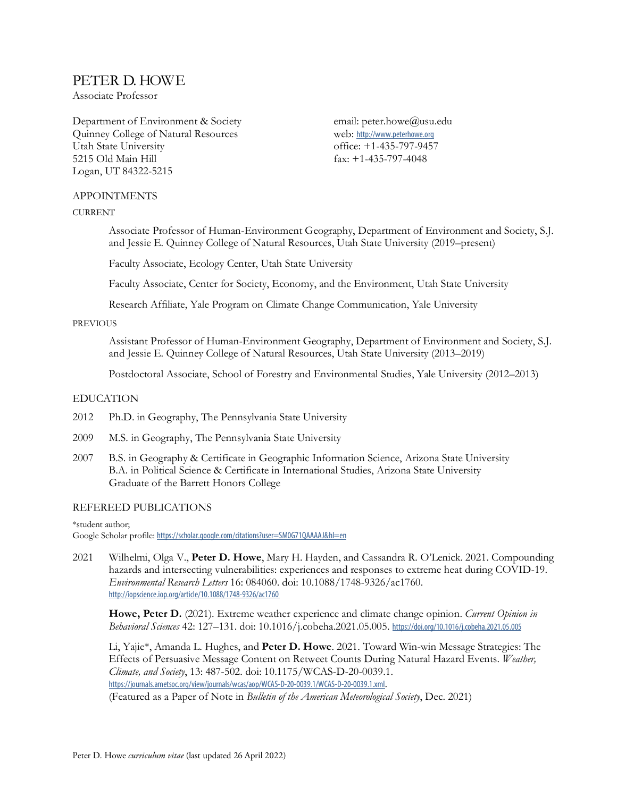# PETER D. HOWE

Associate Professor

Department of Environment & Society Quinney College of Natural Resources Utah State University 5215 Old Main Hill Logan, UT 84322-5215

email: peter.howe@usu.edu web: http://www.peterhowe.org office: +1-435-797-9457 fax: +1-435-797-4048

# APPOINTMENTS

### **CURRENT**

Associate Professor of Human-Environment Geography, Department of Environment and Society, S.J. and Jessie E. Quinney College of Natural Resources, Utah State University (2019–present)

Faculty Associate, Ecology Center, Utah State University

Faculty Associate, Center for Society, Economy, and the Environment, Utah State University

Research Affiliate, Yale Program on Climate Change Communication, Yale University

# PREVIOUS

Assistant Professor of Human-Environment Geography, Department of Environment and Society, S.J. and Jessie E. Quinney College of Natural Resources, Utah State University (2013–2019)

Postdoctoral Associate, School of Forestry and Environmental Studies, Yale University (2012–2013)

# EDUCATION

- 2012 Ph.D. in Geography, The Pennsylvania State University
- 2009 M.S. in Geography, The Pennsylvania State University
- 2007 B.S. in Geography & Certificate in Geographic Information Science, Arizona State University B.A. in Political Science & Certificate in International Studies, Arizona State University Graduate of the Barrett Honors College

# REFEREED PUBLICATIONS

\*student author; Google Scholar profile: https://scholar.google.com/citations?user=SM0G71QAAAAJ&hl=en

2021 Wilhelmi, Olga V., **Peter D. Howe**, Mary H. Hayden, and Cassandra R. O'Lenick. 2021. Compounding hazards and intersecting vulnerabilities: experiences and responses to extreme heat during COVID-19. *Environmental Research Letters* 16: 084060. doi: 10.1088/1748-9326/ac1760. http://iopscience.iop.org/article/10.1088/1748-9326/ac1760

**Howe, Peter D.** (2021). Extreme weather experience and climate change opinion. *Current Opinion in Behavioral Sciences* 42: 127–131. doi: 10.1016/j.cobeha.2021.05.005. https://doi.org/10.1016/j.cobeha.2021.05.005

Li, Yajie\*, Amanda L. Hughes, and **Peter D. Howe**. 2021. Toward Win-win Message Strategies: The Effects of Persuasive Message Content on Retweet Counts During Natural Hazard Events. *Weather, Climate, and Society*, 13: 487-502. doi: 10.1175/WCAS-D-20-0039.1. https://journals.ametsoc.org/view/journals/wcas/aop/WCAS-D-20-0039.1/WCAS-D-20-0039.1.xml. (Featured as a Paper of Note in *Bulletin of the American Meteorological Society*, Dec. 2021)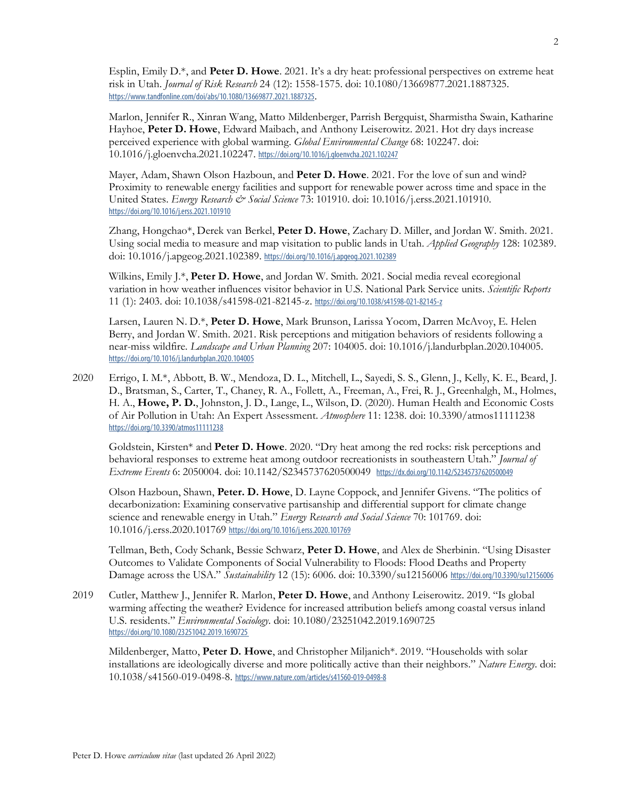Esplin, Emily D.\*, and **Peter D. Howe**. 2021. It's a dry heat: professional perspectives on extreme heat risk in Utah. *Journal of Risk Research* 24 (12): 1558-1575. doi: 10.1080/13669877.2021.1887325. https://www.tandfonline.com/doi/abs/10.1080/13669877.2021.1887325.

Marlon, Jennifer R., Xinran Wang, Matto Mildenberger, Parrish Bergquist, Sharmistha Swain, Katharine Hayhoe, **Peter D. Howe**, Edward Maibach, and Anthony Leiserowitz. 2021. Hot dry days increase perceived experience with global warming. *Global Environmental Change* 68: 102247. doi: 10.1016/j.gloenvcha.2021.102247. https://doi.org/10.1016/j.gloenvcha.2021.102247

Mayer, Adam, Shawn Olson Hazboun, and **Peter D. Howe**. 2021. For the love of sun and wind? Proximity to renewable energy facilities and support for renewable power across time and space in the United States. *Energy Research & Social Science* 73: 101910. doi: 10.1016/j.erss.2021.101910. https://doi.org/10.1016/j.erss.2021.101910

Zhang, Hongchao\*, Derek van Berkel, **Peter D. Howe**, Zachary D. Miller, and Jordan W. Smith. 2021. Using social media to measure and map visitation to public lands in Utah. *Applied Geography* 128: 102389. doi: 10.1016/j.apgeog.2021.102389. https://doi.org/10.1016/j.apgeog.2021.102389

Wilkins, Emily J.\*, **Peter D. Howe**, and Jordan W. Smith. 2021. Social media reveal ecoregional variation in how weather influences visitor behavior in U.S. National Park Service units. *Scientific Reports* 11 (1): 2403. doi: 10.1038/s41598-021-82145-z. https://doi.org/10.1038/s41598-021-82145-z

Larsen, Lauren N. D.\*, **Peter D. Howe**, Mark Brunson, Larissa Yocom, Darren McAvoy, E. Helen Berry, and Jordan W. Smith. 2021. Risk perceptions and mitigation behaviors of residents following a near-miss wildfire. *Landscape and Urban Planning* 207: 104005. doi: 10.1016/j.landurbplan.2020.104005. https://doi.org/10.1016/j.landurbplan.2020.104005

2020 Errigo, I. M.\*, Abbott, B. W., Mendoza, D. L., Mitchell, L., Sayedi, S. S., Glenn, J., Kelly, K. E., Beard, J. D., Bratsman, S., Carter, T., Chaney, R. A., Follett, A., Freeman, A., Frei, R. J., Greenhalgh, M., Holmes, H. A., **Howe, P. D.**, Johnston, J. D., Lange, L., Wilson, D. (2020). Human Health and Economic Costs of Air Pollution in Utah: An Expert Assessment. *Atmosphere* 11: 1238. doi: 10.3390/atmos11111238 https://doi.org/10.3390/atmos11111238

Goldstein, Kirsten\* and **Peter D. Howe**. 2020. "Dry heat among the red rocks: risk perceptions and behavioral responses to extreme heat among outdoor recreationists in southeastern Utah." *Journal of Extreme Events* 6: 2050004. doi: 10.1142/S2345737620500049 https://dx.doi.org/10.1142/S2345737620500049

Olson Hazboun, Shawn, **Peter. D. Howe**, D. Layne Coppock, and Jennifer Givens. "The politics of decarbonization: Examining conservative partisanship and differential support for climate change science and renewable energy in Utah." *Energy Research and Social Science* 70: 101769*.* doi: 10.1016/j.erss.2020.101769 https://doi.org/10.1016/j.erss.2020.101769

Tellman, Beth, Cody Schank, Bessie Schwarz, **Peter D. Howe**, and Alex de Sherbinin. "Using Disaster Outcomes to Validate Components of Social Vulnerability to Floods: Flood Deaths and Property Damage across the USA." *Sustainability* 12 (15): 6006*.* doi: 10.3390/su12156006 https://doi.org/10.3390/su12156006

2019 Cutler, Matthew J., Jennifer R. Marlon, **Peter D. Howe**, and Anthony Leiserowitz. 2019. "Is global warming affecting the weather? Evidence for increased attribution beliefs among coastal versus inland U.S. residents." *Environmental Sociology*. doi: 10.1080/23251042.2019.1690725 https://doi.org/10.1080/23251042.2019.1690725

Mildenberger, Matto, **Peter D. Howe**, and Christopher Miljanich\*. 2019. "Households with solar installations are ideologically diverse and more politically active than their neighbors." *Nature Energy*. doi: 10.1038/s41560-019-0498-8. https://www.nature.com/articles/s41560-019-0498-8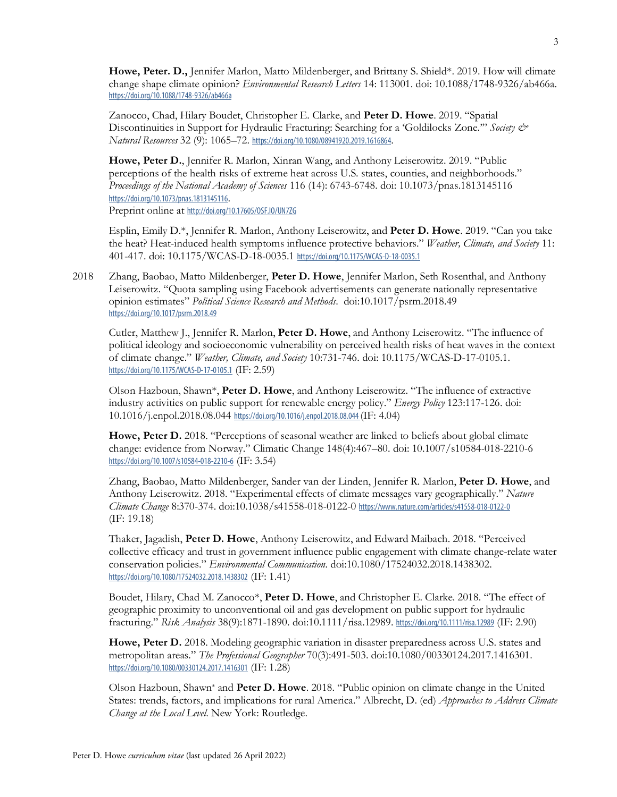**Howe, Peter. D.,** Jennifer Marlon, Matto Mildenberger, and Brittany S. Shield\*. 2019. How will climate change shape climate opinion? *Environmental Research Letters* 14: 113001. doi: 10.1088/1748-9326/ab466a. https://doi.org/10.1088/1748-9326/ab466a

Zanocco, Chad, Hilary Boudet, Christopher E. Clarke, and **Peter D. Howe**. 2019. "Spatial Discontinuities in Support for Hydraulic Fracturing: Searching for a 'Goldilocks Zone.'" *Society & Natural Resources* 32 (9): 1065–72. https://doi.org/10.1080/08941920.2019.1616864.

**Howe, Peter D.**, Jennifer R. Marlon, Xinran Wang, and Anthony Leiserowitz. 2019. "Public perceptions of the health risks of extreme heat across U.S. states, counties, and neighborhoods." *Proceedings of the National Academy of Sciences* 116 (14): 6743-6748. doi: 10.1073/pnas.1813145116 https://doi.org/10.1073/pnas.1813145116.

Preprint online at http://doi.org/10.17605/0SF.IO/UN7ZG

Esplin, Emily D.\*, Jennifer R. Marlon, Anthony Leiserowitz, and **Peter D. Howe**. 2019. "Can you take the heat? Heat-induced health symptoms influence protective behaviors." *Weather, Climate, and Society* 11: 401-417. doi: 10.1175/WCAS-D-18-0035.1 https://doi.org/10.1175/WCAS-D-18-0035.1

2018 Zhang, Baobao, Matto Mildenberger, **Peter D. Howe**, Jennifer Marlon, Seth Rosenthal, and Anthony Leiserowitz. "Quota sampling using Facebook advertisements can generate nationally representative opinion estimates" *Political Science Research and Methods*. doi:10.1017/psrm.2018.49 https://doi.org/10.1017/psrm.2018.49

Cutler, Matthew J., Jennifer R. Marlon, **Peter D. Howe**, and Anthony Leiserowitz. "The influence of political ideology and socioeconomic vulnerability on perceived health risks of heat waves in the context of climate change." *Weather, Climate, and Society* 10:731-746. doi: 10.1175/WCAS-D-17-0105.1. https://doi.org/10.1175/WCAS-D-17-0105.1 (IF: 2.59)

Olson Hazboun, Shawn\*, **Peter D. Howe**, and Anthony Leiserowitz. "The influence of extractive industry activities on public support for renewable energy policy." *Energy Policy* 123:117-126. doi: 10.1016/j.enpol.2018.08.044 https://doi.org/10.1016/j.enpol.2018.08.044(IF: 4.04)

Howe, Peter D. 2018. "Perceptions of seasonal weather are linked to beliefs about global climate change: evidence from Norway." Climatic Change 148(4):467–80. doi: 10.1007/s10584-018-2210-6 https://doi.org/10.1007/s10584-018-2210-6 (IF: 3.54)

Zhang, Baobao, Matto Mildenberger, Sander van der Linden, Jennifer R. Marlon, **Peter D. Howe**, and Anthony Leiserowitz. 2018. "Experimental effects of climate messages vary geographically." *Nature Climate Change* 8:370-374. doi:10.1038/s41558-018-0122-0 https://www.nature.com/articles/s41558-018-0122-0 (IF: 19.18)

Thaker, Jagadish, **Peter D. Howe**, Anthony Leiserowitz, and Edward Maibach. 2018. "Perceived collective efficacy and trust in government influence public engagement with climate change-relate water conservation policies." *Environmental Communication.* doi:10.1080/17524032.2018.1438302. https://doi.org/10.1080/17524032.2018.1438302 (IF: 1.41)

Boudet, Hilary, Chad M. Zanocco\*, **Peter D. Howe**, and Christopher E. Clarke. 2018. "The effect of geographic proximity to unconventional oil and gas development on public support for hydraulic fracturing." *Risk Analysis* 38(9):1871-1890. doi:10.1111/risa.12989. https://doi.org/10.1111/risa.12989 (IF: 2.90)

**Howe, Peter D.** 2018. Modeling geographic variation in disaster preparedness across U.S. states and metropolitan areas." *The Professional Geographer* 70(3):491-503. doi:10.1080/00330124.2017.1416301. https://doi.org/10.1080/00330124.2017.1416301 (IF: 1.28)

Olson Hazboun, Shawn\* and **Peter D. Howe**. 2018. "Public opinion on climate change in the United States: trends, factors, and implications for rural America." Albrecht, D. (ed) *Approaches to Address Climate Change at the Local Level*. New York: Routledge.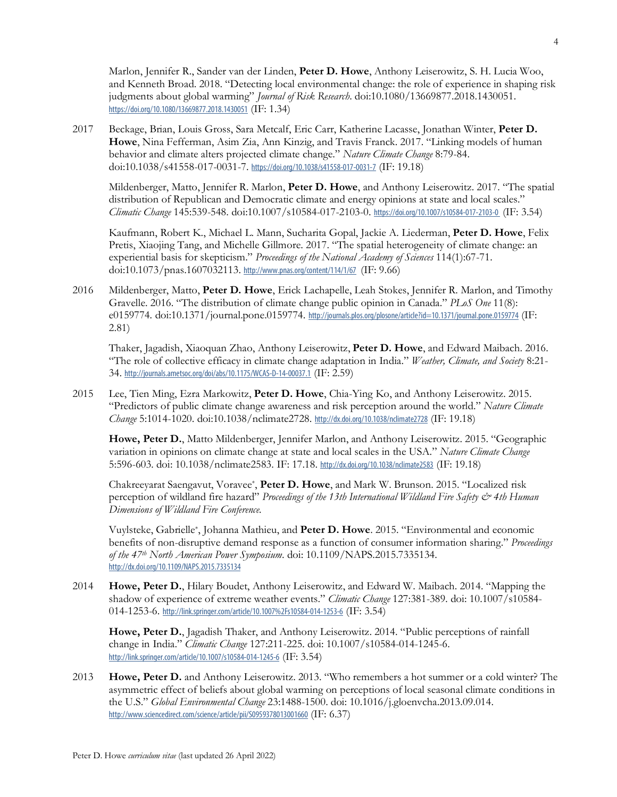Marlon, Jennifer R., Sander van der Linden, **Peter D. Howe**, Anthony Leiserowitz, S. H. Lucia Woo, and Kenneth Broad. 2018. "Detecting local environmental change: the role of experience in shaping risk judgments about global warming" *Journal of Risk Research*. doi:10.1080/13669877.2018.1430051. https://doi.org/10.1080/13669877.2018.1430051 (IF: 1.34)

2017 Beckage, Brian, Louis Gross, Sara Metcalf, Eric Carr, Katherine Lacasse, Jonathan Winter, **Peter D. Howe**, Nina Fefferman, Asim Zia, Ann Kinzig, and Travis Franck. 2017. "Linking models of human behavior and climate alters projected climate change." *Nature Climate Change* 8:79-84. doi:10.1038/s41558-017-0031-7. https://doi.org/10.1038/s41558-017-0031-7 (IF: 19.18)

Mildenberger, Matto, Jennifer R. Marlon, **Peter D. Howe**, and Anthony Leiserowitz. 2017. "The spatial distribution of Republican and Democratic climate and energy opinions at state and local scales." *Climatic Change* 145:539-548. doi:10.1007/s10584-017-2103-0. https://doi.org/10.1007/s10584-017-2103-0 (IF: 3.54)

Kaufmann, Robert K., Michael L. Mann, Sucharita Gopal, Jackie A. Liederman, **Peter D. Howe**, Felix Pretis, Xiaojing Tang, and Michelle Gillmore. 2017. "The spatial heterogeneity of climate change: an experiential basis for skepticism." *Proceedings of the National Academy of Sciences* 114(1):67-71. doi:10.1073/pnas.1607032113. http://www.pnas.org/content/114/1/67 (IF: 9.66)

2016 Mildenberger, Matto, **Peter D. Howe**, Erick Lachapelle, Leah Stokes, Jennifer R. Marlon, and Timothy Gravelle. 2016. "The distribution of climate change public opinion in Canada." *PLoS One* 11(8): e0159774*.* doi:10.1371/journal.pone.0159774. http://journals.plos.org/plosone/article?id=10.1371/journal.pone.0159774 (IF: 2.81)

Thaker, Jagadish, Xiaoquan Zhao, Anthony Leiserowitz, **Peter D. Howe**, and Edward Maibach. 2016. "The role of collective efficacy in climate change adaptation in India." *Weather, Climate, and Society* 8:21- 34. http://journals.ametsoc.org/doi/abs/10.1175/WCAS-D-14-00037.1 (IF: 2.59)

2015 Lee, Tien Ming, Ezra Markowitz, **Peter D. Howe**, Chia-Ying Ko, and Anthony Leiserowitz. 2015. "Predictors of public climate change awareness and risk perception around the world." *Nature Climate Change* 5:1014-1020. doi:10.1038/nclimate2728. http://dx.doi.org/10.1038/nclimate2728 (IF: 19.18)

**Howe, Peter D.**, Matto Mildenberger, Jennifer Marlon, and Anthony Leiserowitz. 2015. "Geographic variation in opinions on climate change at state and local scales in the USA." *Nature Climate Change* 5:596-603*.* doi: 10.1038/nclimate2583. IF: 17.18. http://dx.doi.org/10.1038/nclimate2583 (IF: 19.18)

Chakreeyarat Saengavut, Voravee\*, **Peter D. Howe**, and Mark W. Brunson. 2015. "Localized risk perception of wildland fire hazard" *Proceedings of the 13th International Wildland Fire Safety & 4th Human Dimensions of Wildland Fire Conference.*

Vuylsteke, Gabrielle\*, Johanna Mathieu, and **Peter D. Howe**. 2015. "Environmental and economic benefits of non-disruptive demand response as a function of consumer information sharing." *Proceedings of the 47th North American Power Symposium*. doi: 10.1109/NAPS.2015.7335134. http://dx.doi.org/10.1109/NAPS.2015.7335134

2014 **Howe, Peter D.**, Hilary Boudet, Anthony Leiserowitz, and Edward W. Maibach. 2014. "Mapping the shadow of experience of extreme weather events." *Climatic Change* 127:381-389*.* doi: 10.1007/s10584- 014-1253-6. http://link.springer.com/article/10.1007%2Fs10584-014-1253-6 (IF: 3.54)

**Howe, Peter D.**, Jagadish Thaker, and Anthony Leiserowitz. 2014. "Public perceptions of rainfall change in India." *Climatic Change* 127:211-225*.* doi: 10.1007/s10584-014-1245-6. http://link.springer.com/article/10.1007/s10584-014-1245-6 (IF: 3.54)

2013 **Howe, Peter D.** and Anthony Leiserowitz. 2013. "Who remembers a hot summer or a cold winter? The asymmetric effect of beliefs about global warming on perceptions of local seasonal climate conditions in the U.S." *Global Environmental Change* 23:1488-1500. doi: 10.1016/j.gloenvcha.2013.09.014. http://www.sciencedirect.com/science/article/pii/S0959378013001660 (IF: 6.37)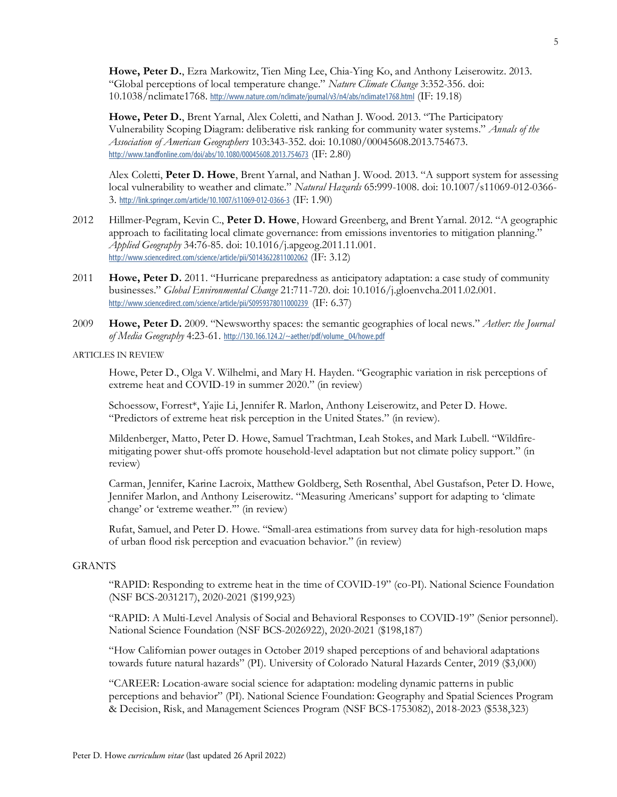**Howe, Peter D.**, Ezra Markowitz, Tien Ming Lee, Chia-Ying Ko, and Anthony Leiserowitz. 2013. "Global perceptions of local temperature change." *Nature Climate Change* 3:352-356. doi: 10.1038/nclimate1768. http://www.nature.com/nclimate/journal/v3/n4/abs/nclimate1768.html (IF: 19.18)

Howe, Peter D., Brent Yarnal, Alex Coletti, and Nathan J. Wood. 2013. "The Participatory Vulnerability Scoping Diagram: deliberative risk ranking for community water systems." *Annals of the Association of American Geographers* 103:343-352. doi: 10.1080/00045608.2013.754673. http://www.tandfonline.com/doi/abs/10.1080/00045608.2013.754673 (IF: 2.80)

Alex Coletti, **Peter D. Howe**, Brent Yarnal, and Nathan J. Wood. 2013. "A support system for assessing local vulnerability to weather and climate." *Natural Hazards* 65:999-1008. doi: 10.1007/s11069-012-0366- 3. http://link.springer.com/article/10.1007/s11069-012-0366-3 (IF: 1.90)

- 2012 Hillmer-Pegram, Kevin C., **Peter D. Howe**, Howard Greenberg, and Brent Yarnal. 2012. "A geographic approach to facilitating local climate governance: from emissions inventories to mitigation planning." *Applied Geography* 34:76-85. doi: 10.1016/j.apgeog.2011.11.001. http://www.sciencedirect.com/science/article/pii/S0143622811002062 (IF: 3.12)
- 2011 **Howe, Peter D.** 2011. "Hurricane preparedness as anticipatory adaptation: a case study of community businesses." *Global Environmental Change* 21:711-720. doi: 10.1016/j.gloenvcha.2011.02.001. http://www.sciencedirect.com/science/article/pii/S0959378011000239 (IF: 6.37)
- 2009 **Howe, Peter D.** 2009. "Newsworthy spaces: the semantic geographies of local news." *Aether: the Journal of Media Geography* 4:23-61. http://130.166.124.2/~aether/pdf/volume\_04/howe.pdf

# ARTICLES IN REVIEW

Howe, Peter D., Olga V. Wilhelmi, and Mary H. Hayden. "Geographic variation in risk perceptions of extreme heat and COVID-19 in summer 2020." (in review)

Schoessow, Forrest\*, Yajie Li, Jennifer R. Marlon, Anthony Leiserowitz, and Peter D. Howe. "Predictors of extreme heat risk perception in the United States." (in review).

Mildenberger, Matto, Peter D. Howe, Samuel Trachtman, Leah Stokes, and Mark Lubell. "Wildfiremitigating power shut-offs promote household-level adaptation but not climate policy support." (in review)

Carman, Jennifer, Karine Lacroix, Matthew Goldberg, Seth Rosenthal, Abel Gustafson, Peter D. Howe, Jennifer Marlon, and Anthony Leiserowitz. "Measuring Americans' support for adapting to 'climate change' or 'extreme weather.'" (in review)

Rufat, Samuel, and Peter D. Howe. "Small-area estimations from survey data for high-resolution maps of urban flood risk perception and evacuation behavior." (in review)

#### GRANTS

"RAPID: Responding to extreme heat in the time of COVID-19" (co-PI). National Science Foundation (NSF BCS-2031217), 2020-2021 (\$199,923)

"RAPID: A Multi-Level Analysis of Social and Behavioral Responses to COVID-19" (Senior personnel). National Science Foundation (NSF BCS-2026922), 2020-2021 (\$198,187)

"How Californian power outages in October 2019 shaped perceptions of and behavioral adaptations towards future natural hazards" (PI). University of Colorado Natural Hazards Center, 2019 (\$3,000)

"CAREER: Location-aware social science for adaptation: modeling dynamic patterns in public perceptions and behavior" (PI). National Science Foundation: Geography and Spatial Sciences Program & Decision, Risk, and Management Sciences Program (NSF BCS-1753082), 2018-2023 (\$538,323)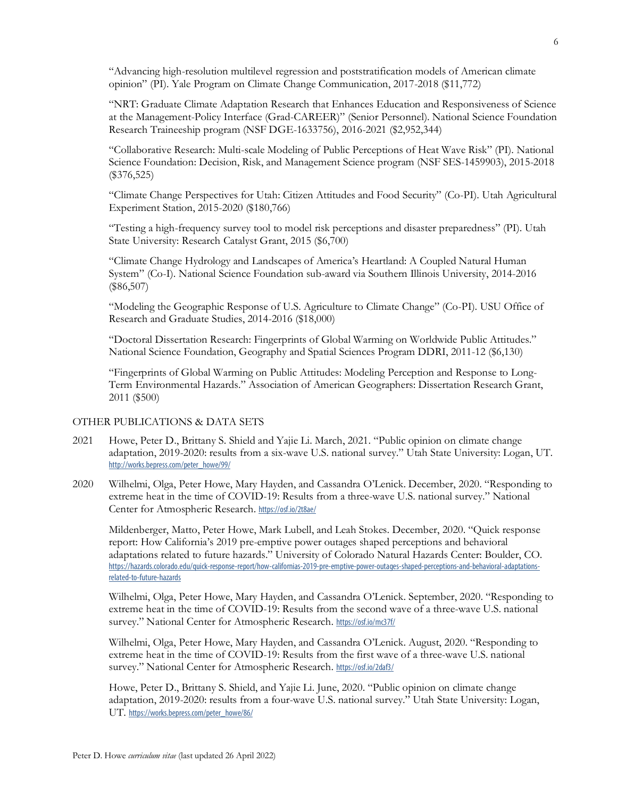"Advancing high-resolution multilevel regression and poststratification models of American climate opinion" (PI). Yale Program on Climate Change Communication, 2017-2018 (\$11,772)

"NRT: Graduate Climate Adaptation Research that Enhances Education and Responsiveness of Science at the Management-Policy Interface (Grad-CAREER)" (Senior Personnel). National Science Foundation Research Traineeship program (NSF DGE-1633756), 2016-2021 (\$2,952,344)

"Collaborative Research: Multi-scale Modeling of Public Perceptions of Heat Wave Risk" (PI). National Science Foundation: Decision, Risk, and Management Science program (NSF SES-1459903), 2015-2018 (\$376,525)

"Climate Change Perspectives for Utah: Citizen Attitudes and Food Security" (Co-PI). Utah Agricultural Experiment Station, 2015-2020 (\$180,766)

"Testing a high-frequency survey tool to model risk perceptions and disaster preparedness" (PI). Utah State University: Research Catalyst Grant, 2015 (\$6,700)

"Climate Change Hydrology and Landscapes of America's Heartland: A Coupled Natural Human System" (Co-I). National Science Foundation sub-award via Southern Illinois University, 2014-2016 (\$86,507)

"Modeling the Geographic Response of U.S. Agriculture to Climate Change" (Co-PI). USU Office of Research and Graduate Studies, 2014-2016 (\$18,000)

"Doctoral Dissertation Research: Fingerprints of Global Warming on Worldwide Public Attitudes." National Science Foundation, Geography and Spatial Sciences Program DDRI, 2011-12 (\$6,130)

"Fingerprints of Global Warming on Public Attitudes: Modeling Perception and Response to Long-Term Environmental Hazards." Association of American Geographers: Dissertation Research Grant, 2011 (\$500)

# OTHER PUBLICATIONS & DATA SETS

- 2021 Howe, Peter D., Brittany S. Shield and Yajie Li. March, 2021. "Public opinion on climate change adaptation, 2019-2020: results from a six-wave U.S. national survey." Utah State University: Logan, UT. http://works.bepress.com/peter\_howe/99/
- 2020 Wilhelmi, Olga, Peter Howe, Mary Hayden, and Cassandra O'Lenick. December, 2020. "Responding to extreme heat in the time of COVID-19: Results from a three-wave U.S. national survey." National Center for Atmospheric Research. https://osf.io/2t8ae/

Mildenberger, Matto, Peter Howe, Mark Lubell, and Leah Stokes. December, 2020. "Quick response report: How California's 2019 pre-emptive power outages shaped perceptions and behavioral adaptations related to future hazards." University of Colorado Natural Hazards Center: Boulder, CO. https://hazards.colorado.edu/quick-response-report/how-californias-2019-pre-emptive-power-outages-shaped-perceptions-and-behavioral-adaptationsrelated-to-future-hazards

Wilhelmi, Olga, Peter Howe, Mary Hayden, and Cassandra O'Lenick. September, 2020. "Responding to extreme heat in the time of COVID-19: Results from the second wave of a three-wave U.S. national survey." National Center for Atmospheric Research. https://osf.io/mc37f/

Wilhelmi, Olga, Peter Howe, Mary Hayden, and Cassandra O'Lenick. August, 2020. "Responding to extreme heat in the time of COVID-19: Results from the first wave of a three-wave U.S. national survey." National Center for Atmospheric Research. https://osf.io/2daf3/

Howe, Peter D., Brittany S. Shield, and Yajie Li. June, 2020. "Public opinion on climate change adaptation, 2019-2020: results from a four-wave U.S. national survey." Utah State University: Logan, UT. https://works.bepress.com/peter\_howe/86/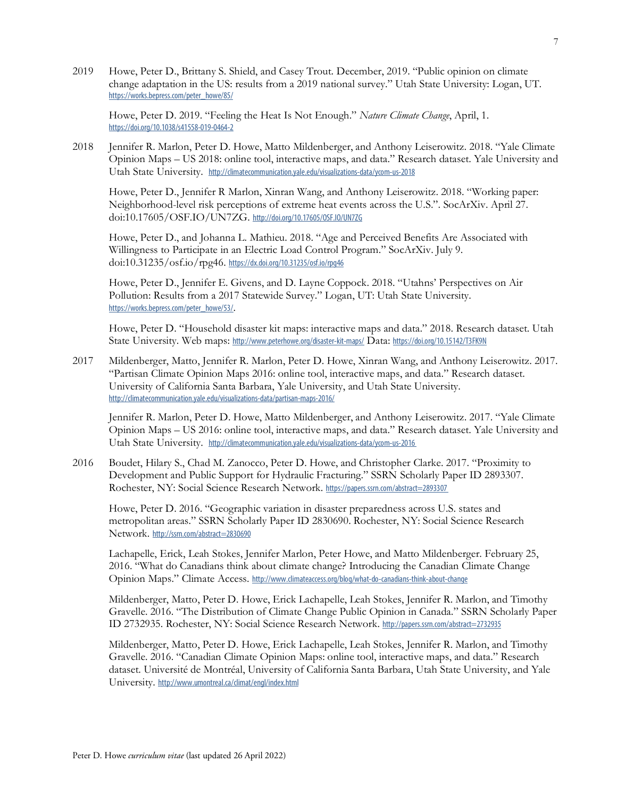2019 Howe, Peter D., Brittany S. Shield, and Casey Trout. December, 2019. "Public opinion on climate change adaptation in the US: results from a 2019 national survey." Utah State University: Logan, UT. https://works.bepress.com/peter\_howe/85/

Howe, Peter D. 2019. "Feeling the Heat Is Not Enough." *Nature Climate Change*, April, 1. https://doi.org/10.1038/s41558-019-0464-2

2018 Jennifer R. Marlon, Peter D. Howe, Matto Mildenberger, and Anthony Leiserowitz. 2018. "Yale Climate Opinion Maps – US 2018: online tool, interactive maps, and data." Research dataset. Yale University and Utah State University. http://climatecommunication.yale.edu/visualizations-data/ycom-us-2018

Howe, Peter D., Jennifer R Marlon, Xinran Wang, and Anthony Leiserowitz. 2018. "Working paper: Neighborhood-level risk perceptions of extreme heat events across the U.S.". SocArXiv. April 27. doi:10.17605/OSF.IO/UN7ZG. http://doi.org/10.17605/OSF.IO/UN7ZG

Howe, Peter D., and Johanna L. Mathieu. 2018. "Age and Perceived Benefits Are Associated with Willingness to Participate in an Electric Load Control Program." SocArXiv. July 9. doi:10.31235/osf.io/rpg46. https://dx.doi.org/10.31235/osf.io/rpg46

Howe, Peter D., Jennifer E. Givens, and D. Layne Coppock. 2018. "Utahns' Perspectives on Air Pollution: Results from a 2017 Statewide Survey." Logan, UT: Utah State University. https://works.bepress.com/peter\_howe/53/.

Howe, Peter D. "Household disaster kit maps: interactive maps and data." 2018. Research dataset. Utah State University. Web maps: http://www.peterhowe.org/disaster-kit-maps/ Data: https://doi.org/10.15142/T3FK9N

2017 Mildenberger, Matto, Jennifer R. Marlon, Peter D. Howe, Xinran Wang, and Anthony Leiserowitz. 2017. "Partisan Climate Opinion Maps 2016: online tool, interactive maps, and data." Research dataset. University of California Santa Barbara, Yale University, and Utah State University. http://climatecommunication.yale.edu/visualizations-data/partisan-maps-2016/

Jennifer R. Marlon, Peter D. Howe, Matto Mildenberger, and Anthony Leiserowitz. 2017. "Yale Climate Opinion Maps – US 2016: online tool, interactive maps, and data." Research dataset. Yale University and Utah State University. http://climatecommunication.yale.edu/visualizations-data/ycom-us-2016

2016 Boudet, Hilary S., Chad M. Zanocco, Peter D. Howe, and Christopher Clarke. 2017. "Proximity to Development and Public Support for Hydraulic Fracturing." SSRN Scholarly Paper ID 2893307. Rochester, NY: Social Science Research Network. https://papers.ssrn.com/abstract=2893307

Howe, Peter D. 2016. "Geographic variation in disaster preparedness across U.S. states and metropolitan areas." SSRN Scholarly Paper ID 2830690. Rochester, NY: Social Science Research Network. http://ssrn.com/abstract=2830690

Lachapelle, Erick, Leah Stokes, Jennifer Marlon, Peter Howe, and Matto Mildenberger. February 25, 2016. "What do Canadians think about climate change? Introducing the Canadian Climate Change Opinion Maps." Climate Access. http://www.climateaccess.org/blog/what-do-canadians-think-about-change

Mildenberger, Matto, Peter D. Howe, Erick Lachapelle, Leah Stokes, Jennifer R. Marlon, and Timothy Gravelle. 2016. "The Distribution of Climate Change Public Opinion in Canada." SSRN Scholarly Paper ID 2732935. Rochester, NY: Social Science Research Network. http://papers.ssrn.com/abstract=2732935

Mildenberger, Matto, Peter D. Howe, Erick Lachapelle, Leah Stokes, Jennifer R. Marlon, and Timothy Gravelle. 2016. "Canadian Climate Opinion Maps: online tool, interactive maps, and data." Research dataset. Université de Montréal, University of California Santa Barbara, Utah State University, and Yale University. http://www.umontreal.ca/climat/engl/index.html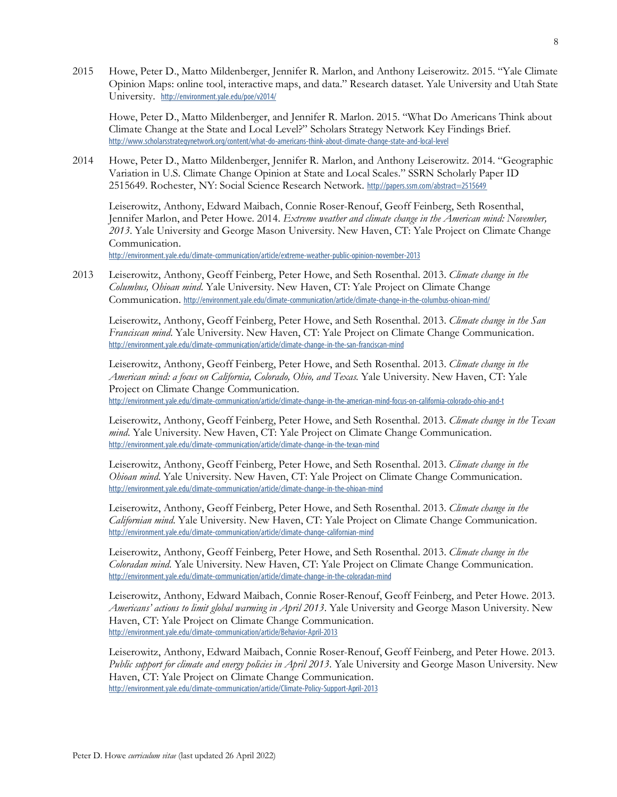2015 Howe, Peter D., Matto Mildenberger, Jennifer R. Marlon, and Anthony Leiserowitz. 2015. "Yale Climate Opinion Maps: online tool, interactive maps, and data." Research dataset. Yale University and Utah State University. http://environment.yale.edu/poe/v2014/

Howe, Peter D., Matto Mildenberger, and Jennifer R. Marlon. 2015. "What Do Americans Think about Climate Change at the State and Local Level?" Scholars Strategy Network Key Findings Brief. http://www.scholarsstrategynetwork.org/content/what-do-americans-think-about-climate-change-state-and-local-level

2014 Howe, Peter D., Matto Mildenberger, Jennifer R. Marlon, and Anthony Leiserowitz. 2014. "Geographic Variation in U.S. Climate Change Opinion at State and Local Scales." SSRN Scholarly Paper ID 2515649. Rochester, NY: Social Science Research Network. http://papers.ssrn.com/abstract=2515649

Leiserowitz, Anthony, Edward Maibach, Connie Roser-Renouf, Geoff Feinberg, Seth Rosenthal, Jennifer Marlon, and Peter Howe. 2014. *Extreme weather and climate change in the American mind: November, 2013*. Yale University and George Mason University. New Haven, CT: Yale Project on Climate Change Communication.

http://environment.yale.edu/climate-communication/article/extreme-weather-public-opinion-november-2013

2013 Leiserowitz, Anthony, Geoff Feinberg, Peter Howe, and Seth Rosenthal. 2013. *Climate change in the Columbus, Ohioan mind*. Yale University. New Haven, CT: Yale Project on Climate Change Communication. http://environment.yale.edu/climate-communication/article/climate-change-in-the-columbus-ohioan-mind/

Leiserowitz, Anthony, Geoff Feinberg, Peter Howe, and Seth Rosenthal. 2013. *Climate change in the San Franciscan mind*. Yale University. New Haven, CT: Yale Project on Climate Change Communication. http://environment.yale.edu/climate-communication/article/climate-change-in-the-san-franciscan-mind

Leiserowitz, Anthony, Geoff Feinberg, Peter Howe, and Seth Rosenthal. 2013. *Climate change in the American mind: a focus on California, Colorado, Ohio, and Texas*. Yale University. New Haven, CT: Yale Project on Climate Change Communication.

http://environment.yale.edu/climate-communication/article/climate-change-in-the-american-mind-focus-on-california-colorado-ohio-and-t

Leiserowitz, Anthony, Geoff Feinberg, Peter Howe, and Seth Rosenthal. 2013. *Climate change in the Texan mind*. Yale University. New Haven, CT: Yale Project on Climate Change Communication. http://environment.yale.edu/climate-communication/article/climate-change-in-the-texan-mind

Leiserowitz, Anthony, Geoff Feinberg, Peter Howe, and Seth Rosenthal. 2013. *Climate change in the Ohioan mind*. Yale University. New Haven, CT: Yale Project on Climate Change Communication. http://environment.yale.edu/climate-communication/article/climate-change-in-the-ohioan-mind

Leiserowitz, Anthony, Geoff Feinberg, Peter Howe, and Seth Rosenthal. 2013. *Climate change in the Californian mind*. Yale University. New Haven, CT: Yale Project on Climate Change Communication. http://environment.yale.edu/climate-communication/article/climate-change-californian-mind

Leiserowitz, Anthony, Geoff Feinberg, Peter Howe, and Seth Rosenthal. 2013. *Climate change in the Coloradan mind*. Yale University. New Haven, CT: Yale Project on Climate Change Communication. http://environment.yale.edu/climate-communication/article/climate-change-in-the-coloradan-mind

Leiserowitz, Anthony, Edward Maibach, Connie Roser-Renouf, Geoff Feinberg, and Peter Howe. 2013. *Americans' actions to limit global warming in April 2013*. Yale University and George Mason University. New Haven, CT: Yale Project on Climate Change Communication. http://environment.yale.edu/climate-communication/article/Behavior-April-2013

Leiserowitz, Anthony, Edward Maibach, Connie Roser-Renouf, Geoff Feinberg, and Peter Howe. 2013. *Public support for climate and energy policies in April 2013*. Yale University and George Mason University. New Haven, CT: Yale Project on Climate Change Communication. http://environment.yale.edu/climate-communication/article/Climate-Policy-Support-April-2013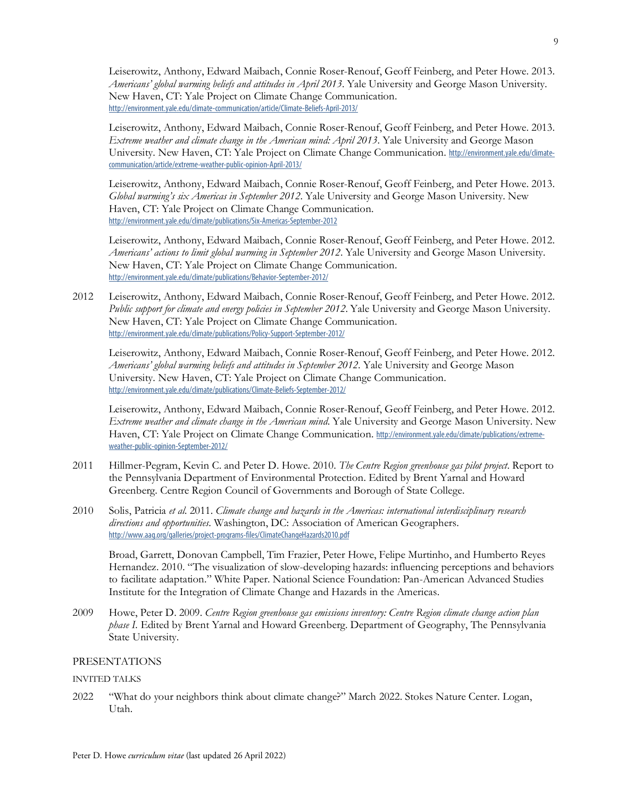Leiserowitz, Anthony, Edward Maibach, Connie Roser-Renouf, Geoff Feinberg, and Peter Howe. 2013. *Americans' global warming beliefs and attitudes in April 2013*. Yale University and George Mason University. New Haven, CT: Yale Project on Climate Change Communication. http://environment.yale.edu/climate-communication/article/Climate-Beliefs-April-2013/

Leiserowitz, Anthony, Edward Maibach, Connie Roser-Renouf, Geoff Feinberg, and Peter Howe. 2013. *Extreme weather and climate change in the American mind: April 2013*. Yale University and George Mason University. New Haven, CT: Yale Project on Climate Change Communication. http://environment.yale.edu/climatecommunication/article/extreme-weather-public-opinion-April-2013/

Leiserowitz, Anthony, Edward Maibach, Connie Roser-Renouf, Geoff Feinberg, and Peter Howe. 2013. *Global warming's six Americas in September 2012*. Yale University and George Mason University. New Haven, CT: Yale Project on Climate Change Communication. http://environment.yale.edu/climate/publications/Six-Americas-September-2012

Leiserowitz, Anthony, Edward Maibach, Connie Roser-Renouf, Geoff Feinberg, and Peter Howe. 2012. *Americans' actions to limit global warming in September 2012*. Yale University and George Mason University. New Haven, CT: Yale Project on Climate Change Communication. http://environment.yale.edu/climate/publications/Behavior-September-2012/

2012 Leiserowitz, Anthony, Edward Maibach, Connie Roser-Renouf, Geoff Feinberg, and Peter Howe. 2012. *Public support for climate and energy policies in September 2012*. Yale University and George Mason University. New Haven, CT: Yale Project on Climate Change Communication. http://environment.yale.edu/climate/publications/Policy-Support-September-2012/

Leiserowitz, Anthony, Edward Maibach, Connie Roser-Renouf, Geoff Feinberg, and Peter Howe. 2012. *Americans' global warming beliefs and attitudes in September 2012*. Yale University and George Mason University. New Haven, CT: Yale Project on Climate Change Communication. http://environment.yale.edu/climate/publications/Climate-Beliefs-September-2012/

Leiserowitz, Anthony, Edward Maibach, Connie Roser-Renouf, Geoff Feinberg, and Peter Howe. 2012. *Extreme weather and climate change in the American mind*. Yale University and George Mason University. New Haven, CT: Yale Project on Climate Change Communication. http://environment.yale.edu/climate/publications/extremeweather-public-opinion-September-2012/

- 2011 Hillmer-Pegram, Kevin C. and Peter D. Howe. 2010. *The Centre Region greenhouse gas pilot project*. Report to the Pennsylvania Department of Environmental Protection. Edited by Brent Yarnal and Howard Greenberg. Centre Region Council of Governments and Borough of State College.
- 2010 Solis, Patricia *et al.* 2011. *Climate change and hazards in the Americas: international interdisciplinary research directions and opportunities*. Washington, DC: Association of American Geographers. http://www.aag.org/galleries/project-programs-files/ClimateChangeHazards2010.pdf

Broad, Garrett, Donovan Campbell, Tim Frazier, Peter Howe, Felipe Murtinho, and Humberto Reyes Hernandez. 2010. "The visualization of slow-developing hazards: influencing perceptions and behaviors to facilitate adaptation." White Paper. National Science Foundation: Pan-American Advanced Studies Institute for the Integration of Climate Change and Hazards in the Americas.

2009 Howe, Peter D. 2009. *Centre Region greenhouse gas emissions inventory: Centre Region climate change action plan phase I.* Edited by Brent Yarnal and Howard Greenberg. Department of Geography, The Pennsylvania State University.

# PRESENTATIONS

# INVITED TALKS

2022 "What do your neighbors think about climate change?" March 2022. Stokes Nature Center. Logan, Utah.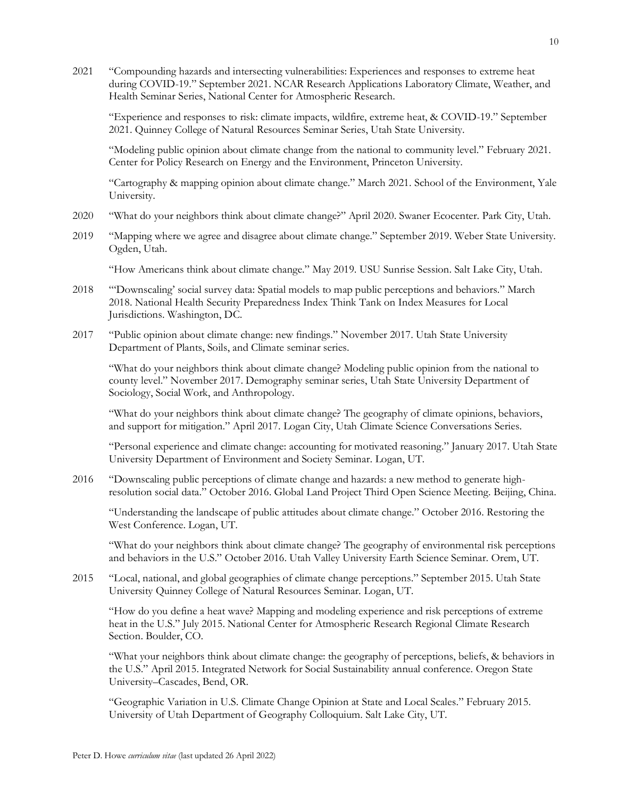2021 "Compounding hazards and intersecting vulnerabilities: Experiences and responses to extreme heat during COVID-19." September 2021. NCAR Research Applications Laboratory Climate, Weather, and Health Seminar Series, National Center for Atmospheric Research.

"Experience and responses to risk: climate impacts, wildfire, extreme heat, & COVID-19." September 2021. Quinney College of Natural Resources Seminar Series, Utah State University.

"Modeling public opinion about climate change from the national to community level." February 2021. Center for Policy Research on Energy and the Environment, Princeton University.

"Cartography & mapping opinion about climate change." March 2021. School of the Environment, Yale University.

- 2020 "What do your neighbors think about climate change?" April 2020. Swaner Ecocenter. Park City, Utah.
- 2019 "Mapping where we agree and disagree about climate change." September 2019. Weber State University. Ogden, Utah.

"How Americans think about climate change." May 2019. USU Sunrise Session. Salt Lake City, Utah.

- 2018 "'Downscaling' social survey data: Spatial models to map public perceptions and behaviors." March 2018. National Health Security Preparedness Index Think Tank on Index Measures for Local Jurisdictions. Washington, DC.
- 2017 "Public opinion about climate change: new findings." November 2017. Utah State University Department of Plants, Soils, and Climate seminar series.

"What do your neighbors think about climate change? Modeling public opinion from the national to county level." November 2017. Demography seminar series, Utah State University Department of Sociology, Social Work, and Anthropology.

"What do your neighbors think about climate change? The geography of climate opinions, behaviors, and support for mitigation." April 2017. Logan City, Utah Climate Science Conversations Series.

"Personal experience and climate change: accounting for motivated reasoning." January 2017. Utah State University Department of Environment and Society Seminar. Logan, UT.

2016 "Downscaling public perceptions of climate change and hazards: a new method to generate highresolution social data." October 2016. Global Land Project Third Open Science Meeting. Beijing, China.

"Understanding the landscape of public attitudes about climate change." October 2016. Restoring the West Conference. Logan, UT.

"What do your neighbors think about climate change? The geography of environmental risk perceptions and behaviors in the U.S." October 2016. Utah Valley University Earth Science Seminar. Orem, UT.

2015 "Local, national, and global geographies of climate change perceptions." September 2015. Utah State University Quinney College of Natural Resources Seminar. Logan, UT.

"How do you define a heat wave? Mapping and modeling experience and risk perceptions of extreme heat in the U.S." July 2015. National Center for Atmospheric Research Regional Climate Research Section. Boulder, CO.

"What your neighbors think about climate change: the geography of perceptions, beliefs, & behaviors in the U.S." April 2015. Integrated Network for Social Sustainability annual conference. Oregon State University–Cascades, Bend, OR.

"Geographic Variation in U.S. Climate Change Opinion at State and Local Scales." February 2015. University of Utah Department of Geography Colloquium. Salt Lake City, UT.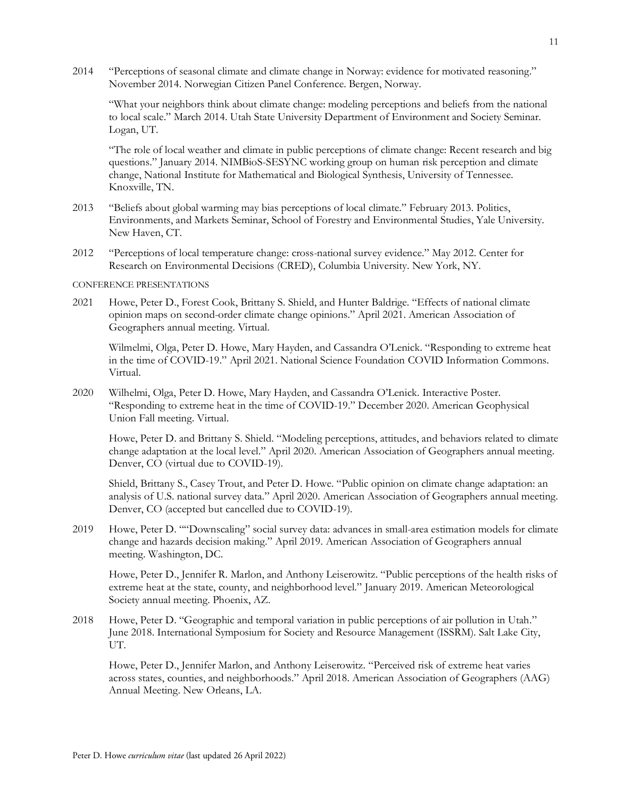2014 "Perceptions of seasonal climate and climate change in Norway: evidence for motivated reasoning." November 2014. Norwegian Citizen Panel Conference. Bergen, Norway.

"What your neighbors think about climate change: modeling perceptions and beliefs from the national to local scale." March 2014. Utah State University Department of Environment and Society Seminar. Logan, UT.

"The role of local weather and climate in public perceptions of climate change: Recent research and big questions." January 2014. NIMBioS-SESYNC working group on human risk perception and climate change, National Institute for Mathematical and Biological Synthesis, University of Tennessee. Knoxville, TN.

- 2013 "Beliefs about global warming may bias perceptions of local climate." February 2013. Politics, Environments, and Markets Seminar, School of Forestry and Environmental Studies, Yale University. New Haven, CT.
- 2012 "Perceptions of local temperature change: cross-national survey evidence." May 2012. Center for Research on Environmental Decisions (CRED), Columbia University. New York, NY.

#### CONFERENCE PRESENTATIONS

2021 Howe, Peter D., Forest Cook, Brittany S. Shield, and Hunter Baldrige. "Effects of national climate opinion maps on second-order climate change opinions." April 2021. American Association of Geographers annual meeting. Virtual.

Wilmelmi, Olga, Peter D. Howe, Mary Hayden, and Cassandra O'Lenick. "Responding to extreme heat in the time of COVID-19." April 2021. National Science Foundation COVID Information Commons. Virtual.

2020 Wilhelmi, Olga, Peter D. Howe, Mary Hayden, and Cassandra O'Lenick. Interactive Poster. "Responding to extreme heat in the time of COVID-19." December 2020. American Geophysical Union Fall meeting. Virtual.

Howe, Peter D. and Brittany S. Shield. "Modeling perceptions, attitudes, and behaviors related to climate change adaptation at the local level." April 2020. American Association of Geographers annual meeting. Denver, CO (virtual due to COVID-19).

Shield, Brittany S., Casey Trout, and Peter D. Howe. "Public opinion on climate change adaptation: an analysis of U.S. national survey data." April 2020. American Association of Geographers annual meeting. Denver, CO (accepted but cancelled due to COVID-19).

2019 Howe, Peter D. ""Downscaling" social survey data: advances in small-area estimation models for climate change and hazards decision making." April 2019. American Association of Geographers annual meeting. Washington, DC.

Howe, Peter D., Jennifer R. Marlon, and Anthony Leiserowitz. "Public perceptions of the health risks of extreme heat at the state, county, and neighborhood level." January 2019. American Meteorological Society annual meeting. Phoenix, AZ.

2018 Howe, Peter D. "Geographic and temporal variation in public perceptions of air pollution in Utah." June 2018. International Symposium for Society and Resource Management (ISSRM). Salt Lake City, UT.

Howe, Peter D., Jennifer Marlon, and Anthony Leiserowitz. "Perceived risk of extreme heat varies across states, counties, and neighborhoods." April 2018. American Association of Geographers (AAG) Annual Meeting. New Orleans, LA.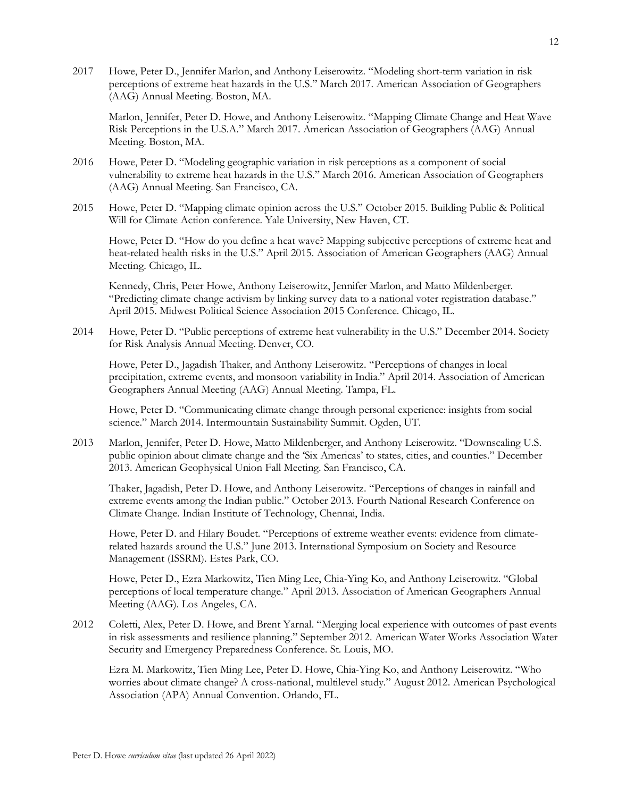2017 Howe, Peter D., Jennifer Marlon, and Anthony Leiserowitz. "Modeling short-term variation in risk perceptions of extreme heat hazards in the U.S." March 2017. American Association of Geographers (AAG) Annual Meeting. Boston, MA.

Marlon, Jennifer, Peter D. Howe, and Anthony Leiserowitz. "Mapping Climate Change and Heat Wave Risk Perceptions in the U.S.A." March 2017. American Association of Geographers (AAG) Annual Meeting. Boston, MA.

- 2016 Howe, Peter D. "Modeling geographic variation in risk perceptions as a component of social vulnerability to extreme heat hazards in the U.S." March 2016. American Association of Geographers (AAG) Annual Meeting. San Francisco, CA.
- 2015 Howe, Peter D. "Mapping climate opinion across the U.S." October 2015. Building Public & Political Will for Climate Action conference. Yale University, New Haven, CT.

Howe, Peter D. "How do you define a heat wave? Mapping subjective perceptions of extreme heat and heat-related health risks in the U.S." April 2015. Association of American Geographers (AAG) Annual Meeting. Chicago, IL.

Kennedy, Chris, Peter Howe, Anthony Leiserowitz, Jennifer Marlon, and Matto Mildenberger. "Predicting climate change activism by linking survey data to a national voter registration database." April 2015. Midwest Political Science Association 2015 Conference. Chicago, IL.

2014 Howe, Peter D. "Public perceptions of extreme heat vulnerability in the U.S." December 2014. Society for Risk Analysis Annual Meeting. Denver, CO.

Howe, Peter D., Jagadish Thaker, and Anthony Leiserowitz. "Perceptions of changes in local precipitation, extreme events, and monsoon variability in India." April 2014. Association of American Geographers Annual Meeting (AAG) Annual Meeting. Tampa, FL.

Howe, Peter D. "Communicating climate change through personal experience: insights from social science." March 2014. Intermountain Sustainability Summit. Ogden, UT.

2013 Marlon, Jennifer, Peter D. Howe, Matto Mildenberger, and Anthony Leiserowitz. "Downscaling U.S. public opinion about climate change and the 'Six Americas' to states, cities, and counties." December 2013. American Geophysical Union Fall Meeting. San Francisco, CA.

Thaker, Jagadish, Peter D. Howe, and Anthony Leiserowitz. "Perceptions of changes in rainfall and extreme events among the Indian public." October 2013. Fourth National Research Conference on Climate Change. Indian Institute of Technology, Chennai, India.

Howe, Peter D. and Hilary Boudet. "Perceptions of extreme weather events: evidence from climaterelated hazards around the U.S." June 2013. International Symposium on Society and Resource Management (ISSRM). Estes Park, CO.

Howe, Peter D., Ezra Markowitz, Tien Ming Lee, Chia-Ying Ko, and Anthony Leiserowitz. "Global perceptions of local temperature change." April 2013. Association of American Geographers Annual Meeting (AAG). Los Angeles, CA.

2012 Coletti, Alex, Peter D. Howe, and Brent Yarnal. "Merging local experience with outcomes of past events in risk assessments and resilience planning." September 2012. American Water Works Association Water Security and Emergency Preparedness Conference. St. Louis, MO.

Ezra M. Markowitz, Tien Ming Lee, Peter D. Howe, Chia-Ying Ko, and Anthony Leiserowitz. "Who worries about climate change? A cross-national, multilevel study." August 2012. American Psychological Association (APA) Annual Convention. Orlando, FL.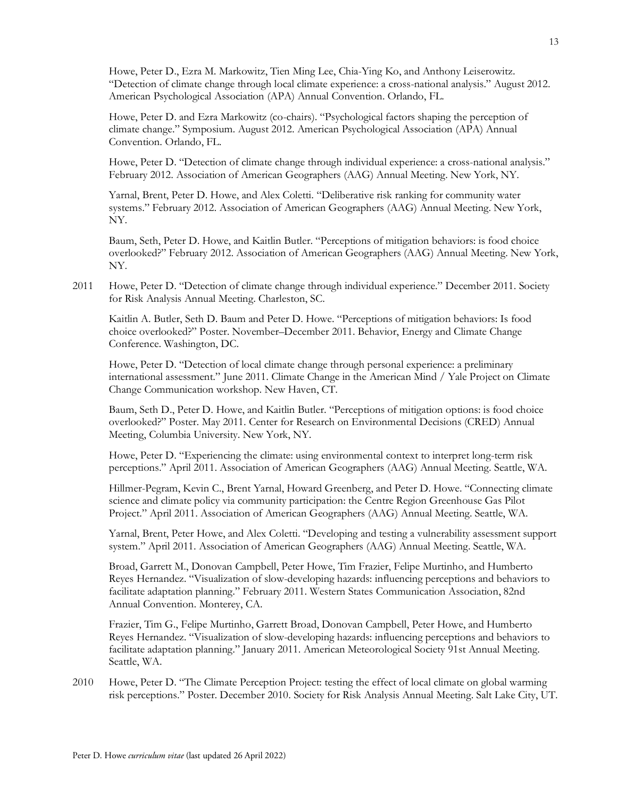Howe, Peter D., Ezra M. Markowitz, Tien Ming Lee, Chia-Ying Ko, and Anthony Leiserowitz. "Detection of climate change through local climate experience: a cross-national analysis." August 2012. American Psychological Association (APA) Annual Convention. Orlando, FL.

Howe, Peter D. and Ezra Markowitz (co-chairs). "Psychological factors shaping the perception of climate change." Symposium. August 2012. American Psychological Association (APA) Annual Convention. Orlando, FL.

Howe, Peter D. "Detection of climate change through individual experience: a cross-national analysis." February 2012. Association of American Geographers (AAG) Annual Meeting. New York, NY.

Yarnal, Brent, Peter D. Howe, and Alex Coletti. "Deliberative risk ranking for community water systems." February 2012. Association of American Geographers (AAG) Annual Meeting. New York, NY.

Baum, Seth, Peter D. Howe, and Kaitlin Butler. "Perceptions of mitigation behaviors: is food choice overlooked?" February 2012. Association of American Geographers (AAG) Annual Meeting. New York, NY.

2011 Howe, Peter D. "Detection of climate change through individual experience." December 2011. Society for Risk Analysis Annual Meeting. Charleston, SC.

Kaitlin A. Butler, Seth D. Baum and Peter D. Howe. "Perceptions of mitigation behaviors: Is food choice overlooked?" Poster. November–December 2011. Behavior, Energy and Climate Change Conference. Washington, DC.

Howe, Peter D. "Detection of local climate change through personal experience: a preliminary international assessment." June 2011. Climate Change in the American Mind / Yale Project on Climate Change Communication workshop. New Haven, CT.

Baum, Seth D., Peter D. Howe, and Kaitlin Butler. "Perceptions of mitigation options: is food choice overlooked?" Poster. May 2011. Center for Research on Environmental Decisions (CRED) Annual Meeting, Columbia University. New York, NY.

Howe, Peter D. "Experiencing the climate: using environmental context to interpret long-term risk perceptions." April 2011. Association of American Geographers (AAG) Annual Meeting. Seattle, WA.

Hillmer-Pegram, Kevin C., Brent Yarnal, Howard Greenberg, and Peter D. Howe. "Connecting climate science and climate policy via community participation: the Centre Region Greenhouse Gas Pilot Project." April 2011. Association of American Geographers (AAG) Annual Meeting. Seattle, WA.

Yarnal, Brent, Peter Howe, and Alex Coletti. "Developing and testing a vulnerability assessment support system." April 2011. Association of American Geographers (AAG) Annual Meeting. Seattle, WA.

Broad, Garrett M., Donovan Campbell, Peter Howe, Tim Frazier, Felipe Murtinho, and Humberto Reyes Hernandez. "Visualization of slow-developing hazards: influencing perceptions and behaviors to facilitate adaptation planning." February 2011. Western States Communication Association, 82nd Annual Convention. Monterey, CA.

Frazier, Tim G., Felipe Murtinho, Garrett Broad, Donovan Campbell, Peter Howe, and Humberto Reyes Hernandez. "Visualization of slow-developing hazards: influencing perceptions and behaviors to facilitate adaptation planning." January 2011. American Meteorological Society 91st Annual Meeting. Seattle, WA.

2010 Howe, Peter D. "The Climate Perception Project: testing the effect of local climate on global warming risk perceptions." Poster. December 2010. Society for Risk Analysis Annual Meeting. Salt Lake City, UT.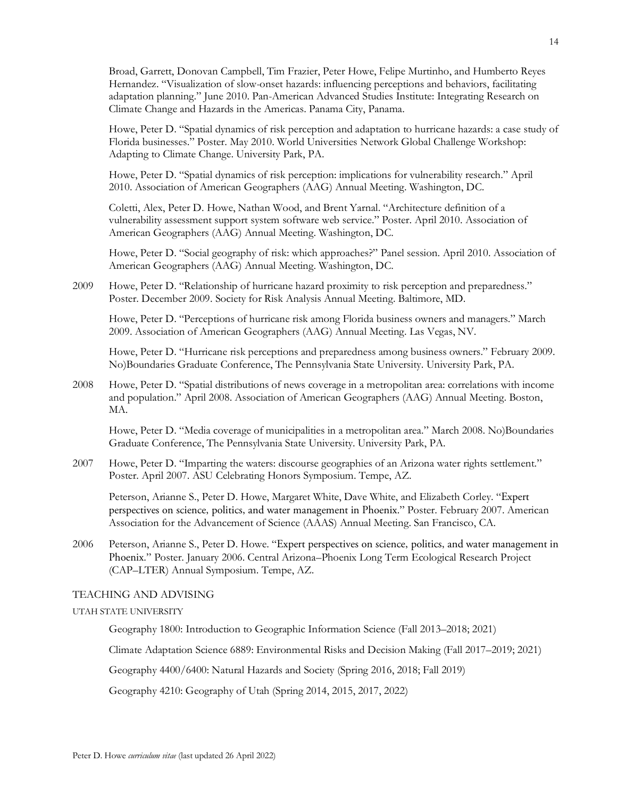Broad, Garrett, Donovan Campbell, Tim Frazier, Peter Howe, Felipe Murtinho, and Humberto Reyes Hernandez. "Visualization of slow-onset hazards: influencing perceptions and behaviors, facilitating adaptation planning." June 2010. Pan-American Advanced Studies Institute: Integrating Research on Climate Change and Hazards in the Americas. Panama City, Panama.

Howe, Peter D. "Spatial dynamics of risk perception and adaptation to hurricane hazards: a case study of Florida businesses." Poster. May 2010. World Universities Network Global Challenge Workshop: Adapting to Climate Change. University Park, PA.

Howe, Peter D. "Spatial dynamics of risk perception: implications for vulnerability research." April 2010. Association of American Geographers (AAG) Annual Meeting. Washington, DC.

Coletti, Alex, Peter D. Howe, Nathan Wood, and Brent Yarnal. "Architecture definition of a vulnerability assessment support system software web service." Poster. April 2010. Association of American Geographers (AAG) Annual Meeting. Washington, DC.

Howe, Peter D. "Social geography of risk: which approaches?" Panel session. April 2010. Association of American Geographers (AAG) Annual Meeting. Washington, DC.

2009 Howe, Peter D. "Relationship of hurricane hazard proximity to risk perception and preparedness." Poster. December 2009. Society for Risk Analysis Annual Meeting. Baltimore, MD.

Howe, Peter D. "Perceptions of hurricane risk among Florida business owners and managers." March 2009. Association of American Geographers (AAG) Annual Meeting. Las Vegas, NV.

Howe, Peter D. "Hurricane risk perceptions and preparedness among business owners." February 2009. No)Boundaries Graduate Conference, The Pennsylvania State University. University Park, PA.

2008 Howe, Peter D. "Spatial distributions of news coverage in a metropolitan area: correlations with income and population." April 2008. Association of American Geographers (AAG) Annual Meeting. Boston, MA.

Howe, Peter D. "Media coverage of municipalities in a metropolitan area." March 2008. No)Boundaries Graduate Conference, The Pennsylvania State University. University Park, PA.

2007 Howe, Peter D. "Imparting the waters: discourse geographies of an Arizona water rights settlement." Poster. April 2007. ASU Celebrating Honors Symposium. Tempe, AZ.

Peterson, Arianne S., Peter D. Howe, Margaret White, Dave White, and Elizabeth Corley. "Expert perspectives on science, politics, and water management in Phoenix." Poster. February 2007. American Association for the Advancement of Science (AAAS) Annual Meeting. San Francisco, CA.

2006 Peterson, Arianne S., Peter D. Howe. "Expert perspectives on science, politics, and water management in Phoenix." Poster. January 2006. Central Arizona–Phoenix Long Term Ecological Research Project (CAP–LTER) Annual Symposium. Tempe, AZ.

# TEACHING AND ADVISING

# UTAH STATE UNIVERSITY

Geography 1800: Introduction to Geographic Information Science (Fall 2013–2018; 2021)

Climate Adaptation Science 6889: Environmental Risks and Decision Making (Fall 2017–2019; 2021)

Geography 4400/6400: Natural Hazards and Society (Spring 2016, 2018; Fall 2019)

Geography 4210: Geography of Utah (Spring 2014, 2015, 2017, 2022)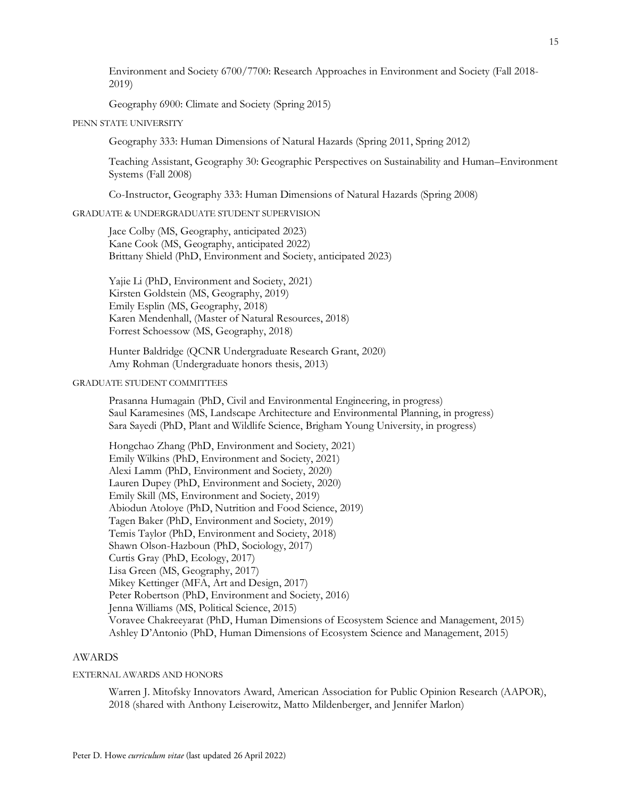Environment and Society 6700/7700: Research Approaches in Environment and Society (Fall 2018- 2019)

Geography 6900: Climate and Society (Spring 2015)

# PENN STATE UNIVERSITY

Geography 333: Human Dimensions of Natural Hazards (Spring 2011, Spring 2012)

Teaching Assistant, Geography 30: Geographic Perspectives on Sustainability and Human–Environment Systems (Fall 2008)

Co-Instructor, Geography 333: Human Dimensions of Natural Hazards (Spring 2008)

## GRADUATE & UNDERGRADUATE STUDENT SUPERVISION

Jace Colby (MS, Geography, anticipated 2023) Kane Cook (MS, Geography, anticipated 2022) Brittany Shield (PhD, Environment and Society, anticipated 2023)

Yajie Li (PhD, Environment and Society, 2021) Kirsten Goldstein (MS, Geography, 2019) Emily Esplin (MS, Geography, 2018) Karen Mendenhall, (Master of Natural Resources, 2018) Forrest Schoessow (MS, Geography, 2018)

Hunter Baldridge (QCNR Undergraduate Research Grant, 2020) Amy Rohman (Undergraduate honors thesis, 2013)

#### GRADUATE STUDENT COMMITTEES

Prasanna Humagain (PhD, Civil and Environmental Engineering, in progress) Saul Karamesines (MS, Landscape Architecture and Environmental Planning, in progress) Sara Sayedi (PhD, Plant and Wildlife Science, Brigham Young University, in progress)

Hongchao Zhang (PhD, Environment and Society, 2021) Emily Wilkins (PhD, Environment and Society, 2021) Alexi Lamm (PhD, Environment and Society, 2020) Lauren Dupey (PhD, Environment and Society, 2020) Emily Skill (MS, Environment and Society, 2019) Abiodun Atoloye (PhD, Nutrition and Food Science, 2019) Tagen Baker (PhD, Environment and Society, 2019) Temis Taylor (PhD, Environment and Society, 2018) Shawn Olson-Hazboun (PhD, Sociology, 2017) Curtis Gray (PhD, Ecology, 2017) Lisa Green (MS, Geography, 2017) Mikey Kettinger (MFA, Art and Design, 2017) Peter Robertson (PhD, Environment and Society, 2016) Jenna Williams (MS, Political Science, 2015) Voravee Chakreeyarat (PhD, Human Dimensions of Ecosystem Science and Management, 2015) Ashley D'Antonio (PhD, Human Dimensions of Ecosystem Science and Management, 2015)

#### AWARDS

#### EXTERNAL AWARDS AND HONORS

Warren J. Mitofsky Innovators Award, American Association for Public Opinion Research (AAPOR), 2018 (shared with Anthony Leiserowitz, Matto Mildenberger, and Jennifer Marlon)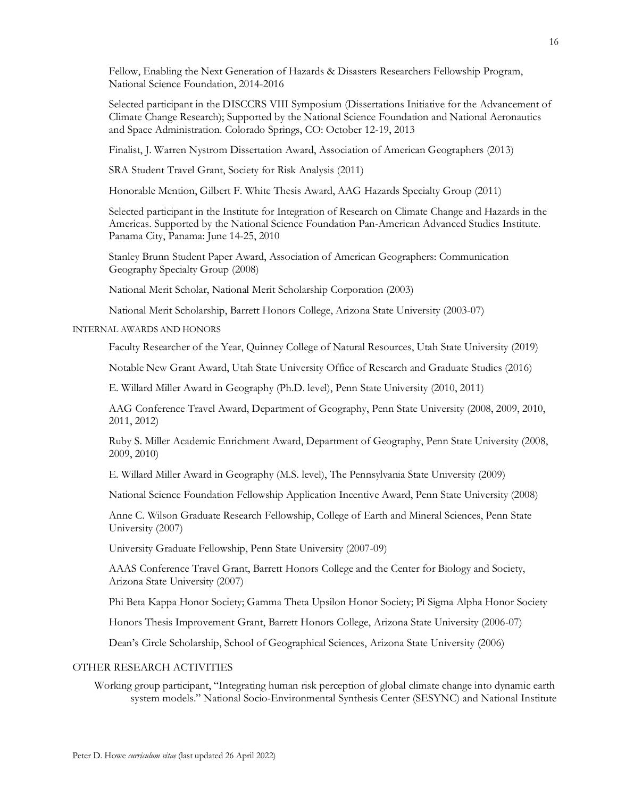Fellow, Enabling the Next Generation of Hazards & Disasters Researchers Fellowship Program, National Science Foundation, 2014-2016

Selected participant in the DISCCRS VIII Symposium (Dissertations Initiative for the Advancement of Climate Change Research); Supported by the National Science Foundation and National Aeronautics and Space Administration. Colorado Springs, CO: October 12-19, 2013

Finalist, J. Warren Nystrom Dissertation Award, Association of American Geographers (2013)

SRA Student Travel Grant, Society for Risk Analysis (2011)

Honorable Mention, Gilbert F. White Thesis Award, AAG Hazards Specialty Group (2011)

Selected participant in the Institute for Integration of Research on Climate Change and Hazards in the Americas. Supported by the National Science Foundation Pan-American Advanced Studies Institute. Panama City, Panama: June 14-25, 2010

Stanley Brunn Student Paper Award, Association of American Geographers: Communication Geography Specialty Group (2008)

National Merit Scholar, National Merit Scholarship Corporation (2003)

National Merit Scholarship, Barrett Honors College, Arizona State University (2003-07)

# INTERNAL AWARDS AND HONORS

Faculty Researcher of the Year, Quinney College of Natural Resources, Utah State University (2019)

Notable New Grant Award, Utah State University Office of Research and Graduate Studies (2016)

E. Willard Miller Award in Geography (Ph.D. level), Penn State University (2010, 2011)

AAG Conference Travel Award, Department of Geography, Penn State University (2008, 2009, 2010, 2011, 2012)

Ruby S. Miller Academic Enrichment Award, Department of Geography, Penn State University (2008, 2009, 2010)

E. Willard Miller Award in Geography (M.S. level), The Pennsylvania State University (2009)

National Science Foundation Fellowship Application Incentive Award, Penn State University (2008)

Anne C. Wilson Graduate Research Fellowship, College of Earth and Mineral Sciences, Penn State University (2007)

University Graduate Fellowship, Penn State University (2007-09)

AAAS Conference Travel Grant, Barrett Honors College and the Center for Biology and Society, Arizona State University (2007)

Phi Beta Kappa Honor Society; Gamma Theta Upsilon Honor Society; Pi Sigma Alpha Honor Society

Honors Thesis Improvement Grant, Barrett Honors College, Arizona State University (2006-07)

Dean's Circle Scholarship, School of Geographical Sciences, Arizona State University (2006)

### OTHER RESEARCH ACTIVITIES

Working group participant, "Integrating human risk perception of global climate change into dynamic earth system models." National Socio-Environmental Synthesis Center (SESYNC) and National Institute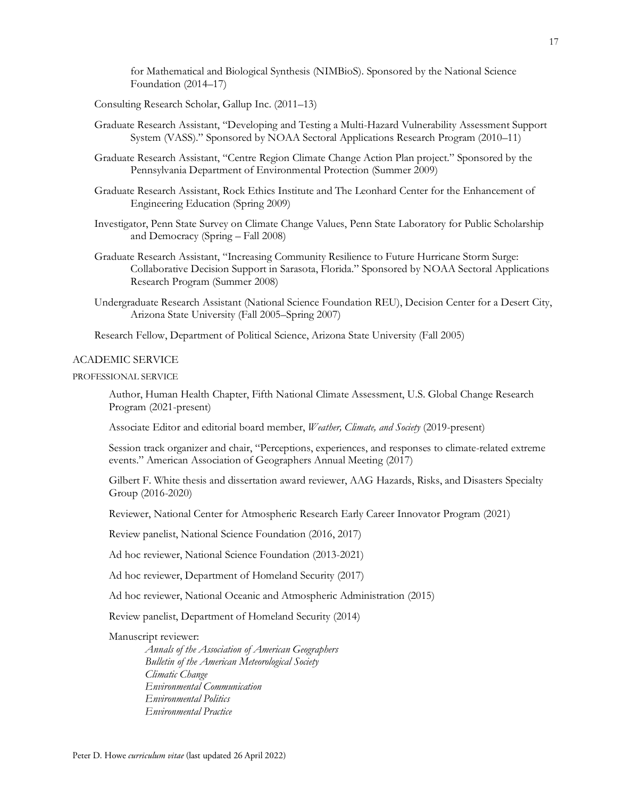for Mathematical and Biological Synthesis (NIMBioS). Sponsored by the National Science Foundation (2014–17)

Consulting Research Scholar, Gallup Inc. (2011–13)

- Graduate Research Assistant, "Developing and Testing a Multi-Hazard Vulnerability Assessment Support System (VASS)." Sponsored by NOAA Sectoral Applications Research Program (2010–11)
- Graduate Research Assistant, "Centre Region Climate Change Action Plan project." Sponsored by the Pennsylvania Department of Environmental Protection (Summer 2009)
- Graduate Research Assistant, Rock Ethics Institute and The Leonhard Center for the Enhancement of Engineering Education (Spring 2009)
- Investigator, Penn State Survey on Climate Change Values, Penn State Laboratory for Public Scholarship and Democracy (Spring – Fall 2008)
- Graduate Research Assistant, "Increasing Community Resilience to Future Hurricane Storm Surge: Collaborative Decision Support in Sarasota, Florida." Sponsored by NOAA Sectoral Applications Research Program (Summer 2008)
- Undergraduate Research Assistant (National Science Foundation REU), Decision Center for a Desert City, Arizona State University (Fall 2005–Spring 2007)

Research Fellow, Department of Political Science, Arizona State University (Fall 2005)

### ACADEMIC SERVICE

PROFESSIONAL SERVICE

Author, Human Health Chapter, Fifth National Climate Assessment, U.S. Global Change Research Program (2021-present)

Associate Editor and editorial board member, *Weather, Climate, and Society* (2019-present)

Session track organizer and chair, "Perceptions, experiences, and responses to climate-related extreme events." American Association of Geographers Annual Meeting (2017)

Gilbert F. White thesis and dissertation award reviewer, AAG Hazards, Risks, and Disasters Specialty Group (2016-2020)

Reviewer, National Center for Atmospheric Research Early Career Innovator Program (2021)

Review panelist, National Science Foundation (2016, 2017)

Ad hoc reviewer, National Science Foundation (2013-2021)

Ad hoc reviewer, Department of Homeland Security (2017)

Ad hoc reviewer, National Oceanic and Atmospheric Administration (2015)

Review panelist, Department of Homeland Security (2014)

### Manuscript reviewer:

*Annals of the Association of American Geographers Bulletin of the American Meteorological Society Climatic Change Environmental Communication Environmental Politics Environmental Practice*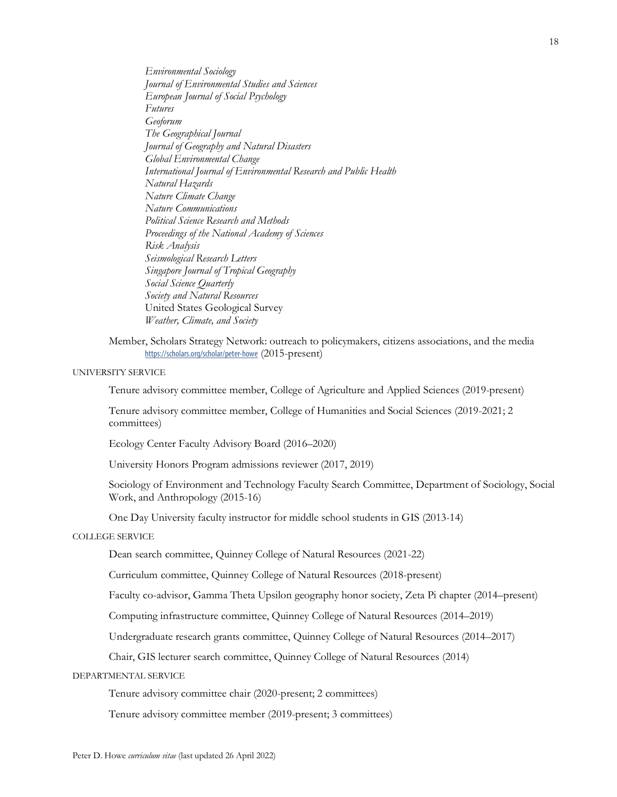*Environmental Sociology Journal of Environmental Studies and Sciences European Journal of Social Psychology Futures Geoforum The Geographical Journal Journal of Geography and Natural Disasters Global Environmental Change International Journal of Environmental Research and Public Health Natural Hazards Nature Climate Change Nature Communications Political Science Research and Methods Proceedings of the National Academy of Sciences Risk Analysis Seismological Research Letters Singapore Journal of Tropical Geography Social Science Quarterly Society and Natural Resources* United States Geological Survey *Weather, Climate, and Society*

Member, Scholars Strategy Network: outreach to policymakers, citizens associations, and the media https://scholars.org/scholar/peter-howe (2015-present)

# UNIVERSITY SERVICE

Tenure advisory committee member, College of Agriculture and Applied Sciences (2019-present)

Tenure advisory committee member, College of Humanities and Social Sciences (2019-2021; 2 committees)

Ecology Center Faculty Advisory Board (2016–2020)

University Honors Program admissions reviewer (2017, 2019)

Sociology of Environment and Technology Faculty Search Committee, Department of Sociology, Social Work, and Anthropology (2015-16)

One Day University faculty instructor for middle school students in GIS (2013-14)

#### COLLEGE SERVICE

Dean search committee, Quinney College of Natural Resources (2021-22)

Curriculum committee, Quinney College of Natural Resources (2018-present)

Faculty co-advisor, Gamma Theta Upsilon geography honor society, Zeta Pi chapter (2014–present)

Computing infrastructure committee, Quinney College of Natural Resources (2014–2019)

Undergraduate research grants committee, Quinney College of Natural Resources (2014–2017)

Chair, GIS lecturer search committee, Quinney College of Natural Resources (2014)

DEPARTMENTAL SERVICE

Tenure advisory committee chair (2020-present; 2 committees)

Tenure advisory committee member (2019-present; 3 committees)